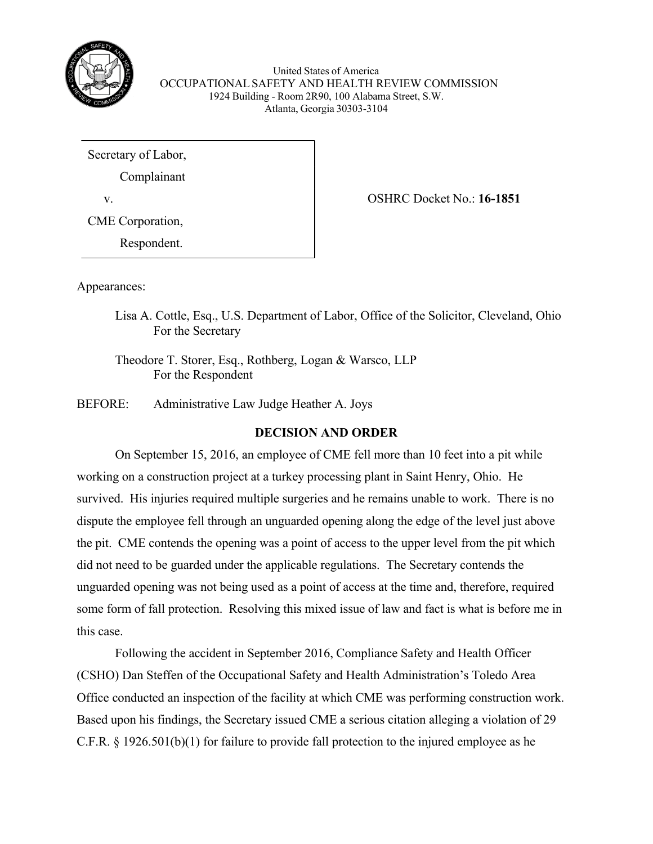

United States of America OCCUPATIONALSAFETY AND HEALTH REVIEW COMMISSION 1924 Building - Room 2R90, 100 Alabama Street, S.W. Atlanta, Georgia 30303-3104

Secretary of Labor, Complainant v. OSHRC Docket No.: **16-1851** CME Corporation, Respondent.

Appearances:

Lisa A. Cottle, Esq., U.S. Department of Labor, Office of the Solicitor, Cleveland, Ohio For the Secretary

Theodore T. Storer, Esq., Rothberg, Logan & Warsco, LLP For the Respondent

BEFORE: Administrative Law Judge Heather A. Joys

# **DECISION AND ORDER**

On September 15, 2016, an employee of CME fell more than 10 feet into a pit while working on a construction project at a turkey processing plant in Saint Henry, Ohio. He survived. His injuries required multiple surgeries and he remains unable to work. There is no dispute the employee fell through an unguarded opening along the edge of the level just above the pit. CME contends the opening was a point of access to the upper level from the pit which did not need to be guarded under the applicable regulations. The Secretary contends the unguarded opening was not being used as a point of access at the time and, therefore, required some form of fall protection. Resolving this mixed issue of law and fact is what is before me in this case.

Following the accident in September 2016, Compliance Safety and Health Officer (CSHO) Dan Steffen of the Occupational Safety and Health Administration's Toledo Area Office conducted an inspection of the facility at which CME was performing construction work. Based upon his findings, the Secretary issued CME a serious citation alleging a violation of 29 C.F.R. § 1926.501(b)(1) for failure to provide fall protection to the injured employee as he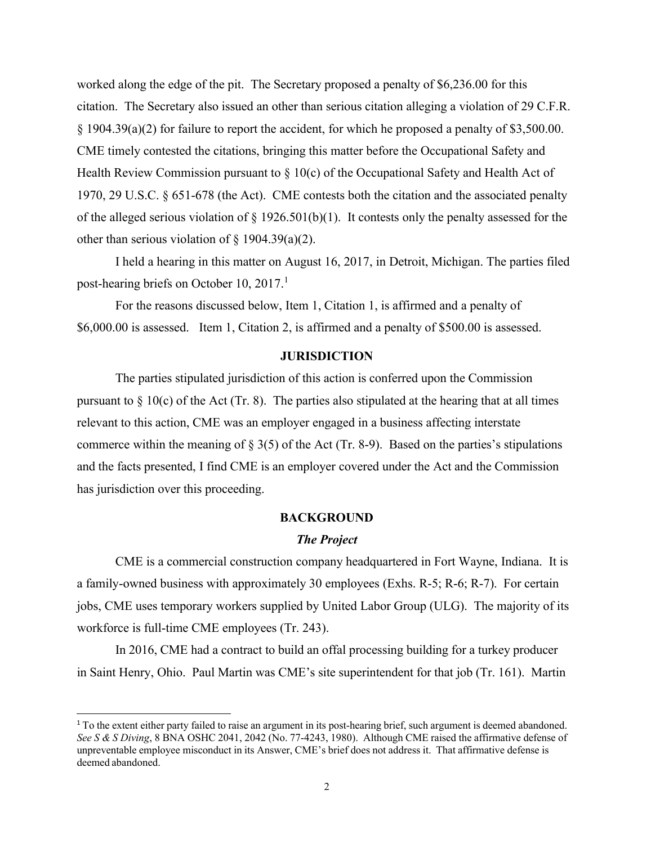worked along the edge of the pit. The Secretary proposed a penalty of \$6,236.00 for this citation. The Secretary also issued an other than serious citation alleging a violation of 29 C.F.R. § 1904.39(a)(2) for failure to report the accident, for which he proposed a penalty of \$3,500.00. CME timely contested the citations, bringing this matter before the Occupational Safety and Health Review Commission pursuant to  $\S$  10(c) of the Occupational Safety and Health Act of 1970, 29 U.S.C. § 651-678 (the Act). CME contests both the citation and the associated penalty of the alleged serious violation of § 1926.501(b)(1). It contests only the penalty assessed for the other than serious violation of  $\S$  1904.39(a)(2).

I held a hearing in this matter on August 16, 2017, in Detroit, Michigan. The parties filed post-hearing briefs on October [1](#page-2-0)0, 2017.<sup>1</sup>

For the reasons discussed below, Item 1, Citation 1, is affirmed and a penalty of \$6,000.00 is assessed. Item 1, Citation 2, is affirmed and a penalty of \$500.00 is assessed.

# **JURISDICTION**

The parties stipulated jurisdiction of this action is conferred upon the Commission pursuant to  $\S$  10(c) of the Act (Tr. 8). The parties also stipulated at the hearing that at all times relevant to this action, CME was an employer engaged in a business affecting interstate commerce within the meaning of  $\S 3(5)$  of the Act (Tr. 8-9). Based on the parties's stipulations and the facts presented, I find CME is an employer covered under the Act and the Commission has jurisdiction over this proceeding.

### **BACKGROUND**

#### *The Project*

CME is a commercial construction company headquartered in Fort Wayne, Indiana. It is a family-owned business with approximately 30 employees (Exhs. R-5; R-6; R-7). For certain jobs, CME uses temporary workers supplied by United Labor Group (ULG). The majority of its workforce is full-time CME employees (Tr. 243).

In 2016, CME had a contract to build an offal processing building for a turkey producer in Saint Henry, Ohio. Paul Martin was CME's site superintendent for that job (Tr. 161). Martin

 $1$  To the extent either party failed to raise an argument in its post-hearing brief, such argument is deemed abandoned. *See S & S Diving*, 8 BNA OSHC 2041, 2042 (No. 77-4243, 1980). Although CME raised the affirmative defense of unpreventable employee misconduct in its Answer, CME's brief does not address it. That affirmative defense is deemed abandoned.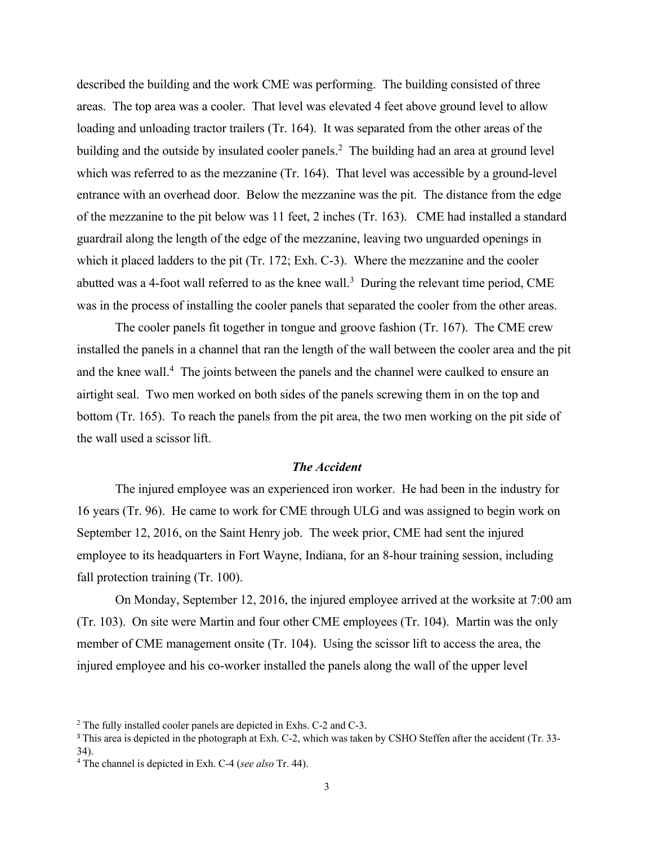described the building and the work CME was performing. The building consisted of three areas. The top area was a cooler. That level was elevated 4 feet above ground level to allow loading and unloading tractor trailers (Tr. 164). It was separated from the other areas of the building and the outside by insulated cooler panels.<sup>[2](#page-3-0)</sup> The building had an area at ground level which was referred to as the mezzanine (Tr. 164). That level was accessible by a ground-level entrance with an overhead door. Below the mezzanine was the pit. The distance from the edge of the mezzanine to the pit below was 11 feet, 2 inches (Tr. 163). CME had installed a standard guardrail along the length of the edge of the mezzanine, leaving two unguarded openings in which it placed ladders to the pit (Tr. 172; Exh. C-3). Where the mezzanine and the cooler abutted was a 4-foot wall referred to as the knee wall.<sup>[3](#page-3-1)</sup> During the relevant time period, CME was in the process of installing the cooler panels that separated the cooler from the other areas.

The cooler panels fit together in tongue and groove fashion (Tr. 167). The CME crew installed the panels in a channel that ran the length of the wall between the cooler area and the pit and the knee wall.<sup>[4](#page-3-2)</sup> The joints between the panels and the channel were caulked to ensure an airtight seal. Two men worked on both sides of the panels screwing them in on the top and bottom (Tr. 165). To reach the panels from the pit area, the two men working on the pit side of the wall used a scissor lift.

# *The Accident*

The injured employee was an experienced iron worker. He had been in the industry for 16 years (Tr. 96). He came to work for CME through ULG and was assigned to begin work on September 12, 2016, on the Saint Henry job. The week prior, CME had sent the injured employee to its headquarters in Fort Wayne, Indiana, for an 8-hour training session, including fall protection training (Tr. 100).

On Monday, September 12, 2016, the injured employee arrived at the worksite at 7:00 am (Tr. 103). On site were Martin and four other CME employees (Tr. 104). Martin was the only member of CME management onsite (Tr. 104). Using the scissor lift to access the area, the injured employee and his co-worker installed the panels along the wall of the upper level

<span id="page-2-0"></span><sup>2</sup> The fully installed cooler panels are depicted in Exhs. C-2 and C-3.

<sup>&</sup>lt;sup>3</sup> This area is depicted in the photograph at Exh. C-2, which was taken by CSHO Steffen after the accident (Tr. 33-34).

<sup>4</sup> The channel is depicted in Exh. C-4 (*see also* Tr. 44).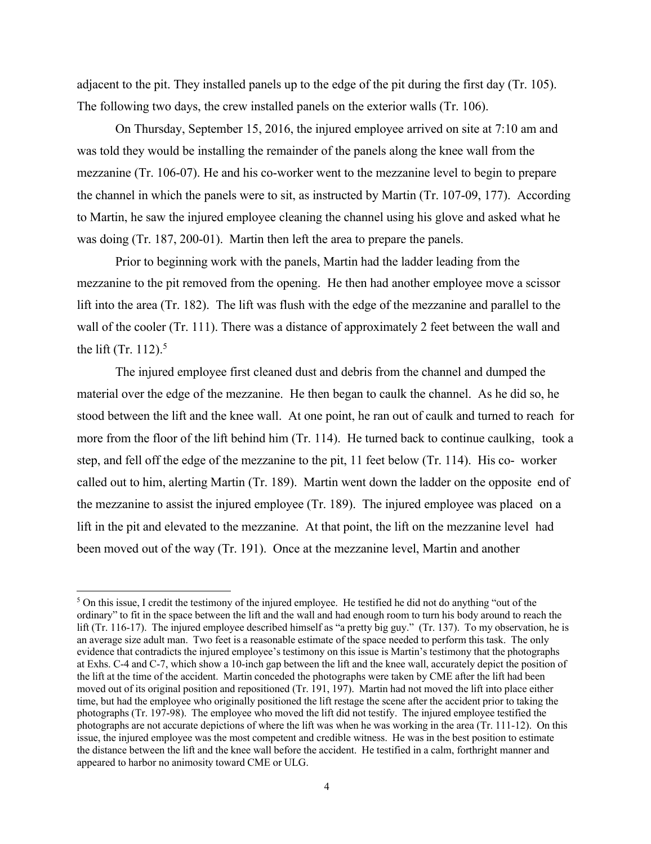adjacent to the pit. They installed panels up to the edge of the pit during the first day (Tr. 105). The following two days, the crew installed panels on the exterior walls (Tr. 106).

On Thursday, September 15, 2016, the injured employee arrived on site at 7:10 am and was told they would be installing the remainder of the panels along the knee wall from the mezzanine (Tr. 106-07). He and his co-worker went to the mezzanine level to begin to prepare the channel in which the panels were to sit, as instructed by Martin (Tr. 107-09, 177). According to Martin, he saw the injured employee cleaning the channel using his glove and asked what he was doing (Tr. 187, 200-01). Martin then left the area to prepare the panels.

Prior to beginning work with the panels, Martin had the ladder leading from the mezzanine to the pit removed from the opening. He then had another employee move a scissor lift into the area (Tr. 182). The lift was flush with the edge of the mezzanine and parallel to the wall of the cooler (Tr. 111). There was a distance of approximately 2 feet between the wall and the lift (Tr.  $112$ ).<sup>[5](#page-4-0)</sup>

The injured employee first cleaned dust and debris from the channel and dumped the material over the edge of the mezzanine. He then began to caulk the channel. As he did so, he stood between the lift and the knee wall. At one point, he ran out of caulk and turned to reach for more from the floor of the lift behind him (Tr. 114). He turned back to continue caulking, took a step, and fell off the edge of the mezzanine to the pit, 11 feet below (Tr. 114). His co- worker called out to him, alerting Martin (Tr. 189). Martin went down the ladder on the opposite end of the mezzanine to assist the injured employee (Tr. 189). The injured employee was placed on a lift in the pit and elevated to the mezzanine. At that point, the lift on the mezzanine level had been moved out of the way (Tr. 191). Once at the mezzanine level, Martin and another

<span id="page-3-2"></span><span id="page-3-1"></span><span id="page-3-0"></span> $5$  On this issue, I credit the testimony of the injured employee. He testified he did not do anything "out of the ordinary" to fit in the space between the lift and the wall and had enough room to turn his body around to reach the lift (Tr. 116-17). The injured employee described himself as "a pretty big guy." (Tr. 137). To my observation, he is an average size adult man. Two feet is a reasonable estimate of the space needed to perform this task. The only evidence that contradicts the injured employee's testimony on this issue is Martin's testimony that the photographs at Exhs. C-4 and C-7, which show a 10-inch gap between the lift and the knee wall, accurately depict the position of the lift at the time of the accident. Martin conceded the photographs were taken by CME after the lift had been moved out of its original position and repositioned (Tr. 191, 197). Martin had not moved the lift into place either time, but had the employee who originally positioned the lift restage the scene after the accident prior to taking the photographs (Tr. 197-98). The employee who moved the lift did not testify. The injured employee testified the photographs are not accurate depictions of where the lift was when he was working in the area (Tr. 111-12). On this issue, the injured employee was the most competent and credible witness. He was in the best position to estimate the distance between the lift and the knee wall before the accident. He testified in a calm, forthright manner and appeared to harbor no animosity toward CME or ULG.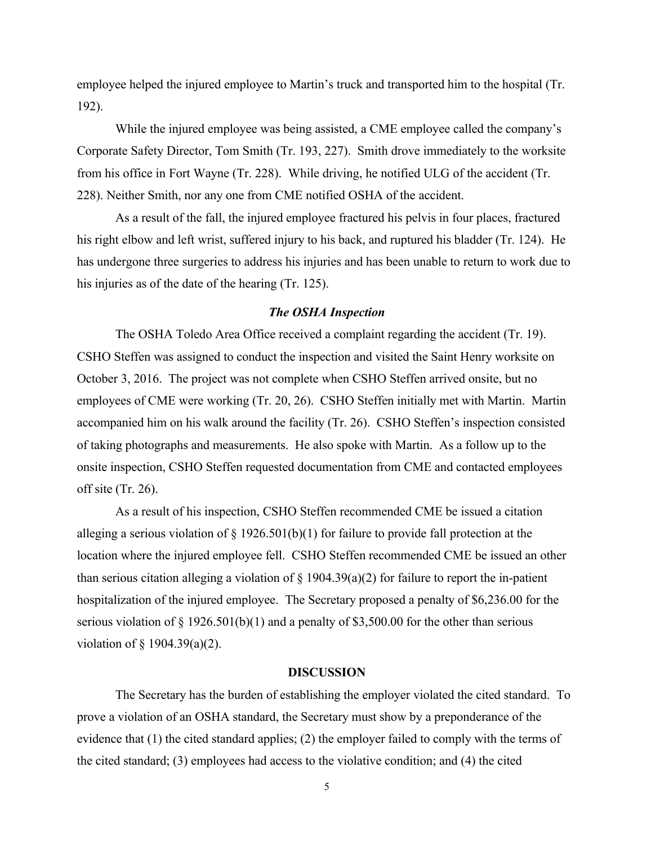employee helped the injured employee to Martin's truck and transported him to the hospital (Tr. 192).

While the injured employee was being assisted, a CME employee called the company's Corporate Safety Director, Tom Smith (Tr. 193, 227). Smith drove immediately to the worksite from his office in Fort Wayne (Tr. 228). While driving, he notified ULG of the accident (Tr. 228). Neither Smith, nor any one from CME notified OSHA of the accident.

As a result of the fall, the injured employee fractured his pelvis in four places, fractured his right elbow and left wrist, suffered injury to his back, and ruptured his bladder (Tr. 124). He has undergone three surgeries to address his injuries and has been unable to return to work due to his injuries as of the date of the hearing (Tr. 125).

### *The OSHA Inspection*

The OSHA Toledo Area Office received a complaint regarding the accident (Tr. 19). CSHO Steffen was assigned to conduct the inspection and visited the Saint Henry worksite on October 3, 2016. The project was not complete when CSHO Steffen arrived onsite, but no employees of CME were working (Tr. 20, 26). CSHO Steffen initially met with Martin. Martin accompanied him on his walk around the facility (Tr. 26). CSHO Steffen's inspection consisted of taking photographs and measurements. He also spoke with Martin. As a follow up to the onsite inspection, CSHO Steffen requested documentation from CME and contacted employees off site (Tr. 26).

<span id="page-4-0"></span>As a result of his inspection, CSHO Steffen recommended CME be issued a citation alleging a serious violation of  $\S 1926.501(b)(1)$  for failure to provide fall protection at the location where the injured employee fell. CSHO Steffen recommended CME be issued an other than serious citation alleging a violation of  $\S$  1904.39(a)(2) for failure to report the in-patient hospitalization of the injured employee. The Secretary proposed a penalty of \$6,236.00 for the serious violation of  $\S 1926.501(b)(1)$  and a penalty of \$3,500.00 for the other than serious violation of § 1904.39(a)(2).

#### **DISCUSSION**

The Secretary has the burden of establishing the employer violated the cited standard. To prove a violation of an OSHA standard, the Secretary must show by a preponderance of the evidence that (1) the cited standard applies; (2) the employer failed to comply with the terms of the cited standard; (3) employees had access to the violative condition; and (4) the cited

5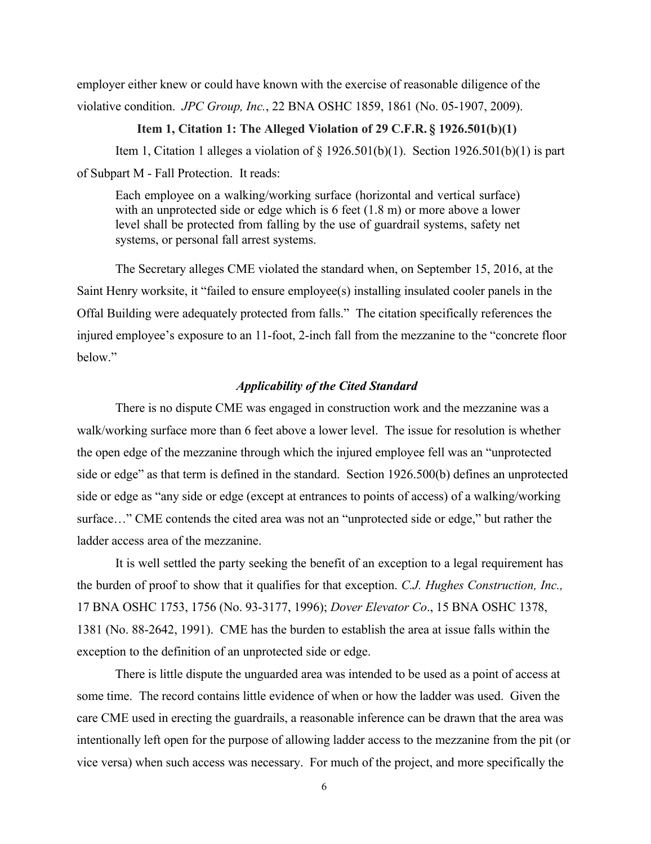employer either knew or could have known with the exercise of reasonable diligence of the violative condition. *JPC Group, Inc.*, 22 BNA OSHC 1859, 1861 (No. 05-1907, 2009).

# **Item 1, Citation 1: The Alleged Violation of 29 C.F.R. § 1926.501(b)(1)**

Item 1, Citation 1 alleges a violation of  $\S 1926.501(b)(1)$ . Section 1926.501(b)(1) is part of Subpart M - Fall Protection. It reads:

Each employee on a walking/working surface (horizontal and vertical surface) with an unprotected side or edge which is 6 feet  $(1.8 \text{ m})$  or more above a lower level shall be protected from falling by the use of guardrail systems, safety net systems, or personal fall arrest systems.

The Secretary alleges CME violated the standard when, on September 15, 2016, at the Saint Henry worksite, it "failed to ensure employee(s) installing insulated cooler panels in the Offal Building were adequately protected from falls." The citation specifically references the injured employee's exposure to an 11-foot, 2-inch fall from the mezzanine to the "concrete floor below."

# *Applicability of the Cited Standard*

There is no dispute CME was engaged in construction work and the mezzanine was a walk/working surface more than 6 feet above a lower level. The issue for resolution is whether the open edge of the mezzanine through which the injured employee fell was an "unprotected side or edge" as that term is defined in the standard. Section 1926.500(b) defines an unprotected side or edge as "any side or edge (except at entrances to points of access) of a walking/working surface…" CME contends the cited area was not an "unprotected side or edge," but rather the ladder access area of the mezzanine.

It is well settled the party seeking the benefit of an exception to a legal requirement has the burden of proof to show that it qualifies for that exception. *C.J. Hughes Construction, Inc.,* 17 BNA OSHC 1753, 1756 (No. 93-3177, 1996); *Dover Elevator Co*., 15 BNA OSHC 1378, 1381 (No. 88-2642, 1991). CME has the burden to establish the area at issue falls within the exception to the definition of an unprotected side or edge.

There is little dispute the unguarded area was intended to be used as a point of access at some time. The record contains little evidence of when or how the ladder was used. Given the care CME used in erecting the guardrails, a reasonable inference can be drawn that the area was intentionally left open for the purpose of allowing ladder access to the mezzanine from the pit (or vice versa) when such access was necessary. For much of the project, and more specifically the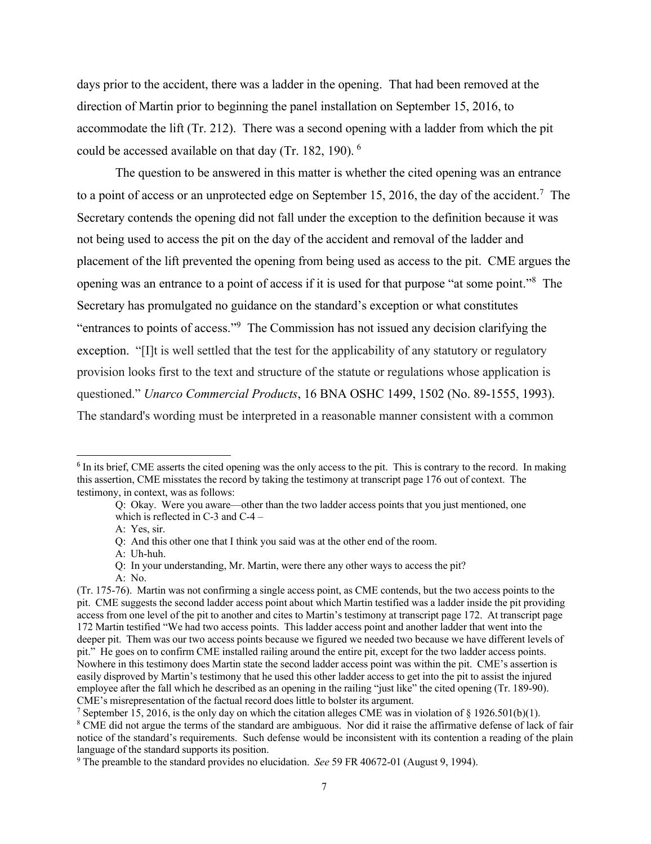days prior to the accident, there was a ladder in the opening. That had been removed at the direction of Martin prior to beginning the panel installation on September 15, 2016, to accommodate the lift (Tr. 212). There was a second opening with a ladder from which the pit could be accessed available on that day (Tr. 182, 190). [6](#page-7-0)

The question to be answered in this matter is whether the cited opening was an entrance to a point of access or an unprotected edge on September 15, 2016, the day of the accident.<sup>[7](#page-7-1)</sup> The Secretary contends the opening did not fall under the exception to the definition because it was not being used to access the pit on the day of the accident and removal of the ladder and placement of the lift prevented the opening from being used as access to the pit. CME argues the opening was an entrance to a point of access if it is used for that purpose "at some point."[8](#page-7-2) The Secretary has promulgated no guidance on the standard's exception or what constitutes "entrances to points of access."[9](#page-7-3) The Commission has not issued any decision clarifying the exception. "[I]t is well settled that the test for the applicability of any statutory or regulatory provision looks first to the text and structure of the statute or regulations whose application is questioned." *[Unarco](https://1.next.westlaw.com/Link/Document/FullText?findType=Y&serNum=1993474590&pubNum=0003227&originatingDoc=I2d0d765a33cf11e280719c3f0e80bdd0&refType=CA&fi=co_pp_sp_3227_1502&originationContext=document&transitionType=DocumentItem&contextData=(sc.Search)&co_pp_sp_3227_1502) [Commercial](https://1.next.westlaw.com/Link/Document/FullText?findType=Y&serNum=1993474590&pubNum=0003227&originatingDoc=I2d0d765a33cf11e280719c3f0e80bdd0&refType=CA&fi=co_pp_sp_3227_1502&originationContext=document&transitionType=DocumentItem&contextData=(sc.Search)&co_pp_sp_3227_1502) [Products](https://1.next.westlaw.com/Link/Document/FullText?findType=Y&serNum=1993474590&pubNum=0003227&originatingDoc=I2d0d765a33cf11e280719c3f0e80bdd0&refType=CA&fi=co_pp_sp_3227_1502&originationContext=document&transitionType=DocumentItem&contextData=(sc.Search)&co_pp_sp_3227_1502)*[,](https://1.next.westlaw.com/Link/Document/FullText?findType=Y&serNum=1993474590&pubNum=0003227&originatingDoc=I2d0d765a33cf11e280719c3f0e80bdd0&refType=CA&fi=co_pp_sp_3227_1502&originationContext=document&transitionType=DocumentItem&contextData=(sc.Search)&co_pp_sp_3227_1502) [16](https://1.next.westlaw.com/Link/Document/FullText?findType=Y&serNum=1993474590&pubNum=0003227&originatingDoc=I2d0d765a33cf11e280719c3f0e80bdd0&refType=CA&fi=co_pp_sp_3227_1502&originationContext=document&transitionType=DocumentItem&contextData=(sc.Search)&co_pp_sp_3227_1502) [BNA](https://1.next.westlaw.com/Link/Document/FullText?findType=Y&serNum=1993474590&pubNum=0003227&originatingDoc=I2d0d765a33cf11e280719c3f0e80bdd0&refType=CA&fi=co_pp_sp_3227_1502&originationContext=document&transitionType=DocumentItem&contextData=(sc.Search)&co_pp_sp_3227_1502) [OSHC](https://1.next.westlaw.com/Link/Document/FullText?findType=Y&serNum=1993474590&pubNum=0003227&originatingDoc=I2d0d765a33cf11e280719c3f0e80bdd0&refType=CA&fi=co_pp_sp_3227_1502&originationContext=document&transitionType=DocumentItem&contextData=(sc.Search)&co_pp_sp_3227_1502) [1499,](https://1.next.westlaw.com/Link/Document/FullText?findType=Y&serNum=1993474590&pubNum=0003227&originatingDoc=I2d0d765a33cf11e280719c3f0e80bdd0&refType=CA&fi=co_pp_sp_3227_1502&originationContext=document&transitionType=DocumentItem&contextData=(sc.Search)&co_pp_sp_3227_1502) [1502](https://1.next.westlaw.com/Link/Document/FullText?findType=Y&serNum=1993474590&pubNum=0003227&originatingDoc=I2d0d765a33cf11e280719c3f0e80bdd0&refType=CA&fi=co_pp_sp_3227_1502&originationContext=document&transitionType=DocumentItem&contextData=(sc.Search)&co_pp_sp_3227_1502) [\(No.](https://1.next.westlaw.com/Link/Document/FullText?findType=Y&serNum=1993474590&pubNum=0003227&originatingDoc=I2d0d765a33cf11e280719c3f0e80bdd0&refType=CA&fi=co_pp_sp_3227_1502&originationContext=document&transitionType=DocumentItem&contextData=(sc.Search)&co_pp_sp_3227_1502) [89-1555,](https://1.next.westlaw.com/Link/Document/FullText?findType=Y&serNum=1993474590&pubNum=0003227&originatingDoc=I2d0d765a33cf11e280719c3f0e80bdd0&refType=CA&fi=co_pp_sp_3227_1502&originationContext=document&transitionType=DocumentItem&contextData=(sc.Search)&co_pp_sp_3227_1502) [1993\).](https://1.next.westlaw.com/Link/Document/FullText?findType=Y&serNum=1993474590&pubNum=0003227&originatingDoc=I2d0d765a33cf11e280719c3f0e80bdd0&refType=CA&fi=co_pp_sp_3227_1502&originationContext=document&transitionType=DocumentItem&contextData=(sc.Search)&co_pp_sp_3227_1502) The standard's wording must be interpreted in a reasonable manner consistent with a common

A: No.

<sup>&</sup>lt;sup>6</sup> In its brief, CME asserts the cited opening was the only access to the pit. This is contrary to the record. In making this assertion, CME misstates the record by taking the testimony at transcript page 176 out of context. The testimony, in context, was as follows:

Q: Okay. Were you aware—other than the two ladder access points that you just mentioned, one which is reflected in C-3 and C-4 –

A: Yes, sir.

Q: And this other one that I think you said was at the other end of the room.

A: Uh-huh.

Q: In your understanding, Mr. Martin, were there any other ways to access the pit?

<sup>(</sup>Tr. 175-76). Martin was not confirming a single access point, as CME contends, but the two access points to the pit. CME suggests the second ladder access point about which Martin testified was a ladder inside the pit providing access from one level of the pit to another and cites to Martin's testimony at transcript page 172. At transcript page 172 Martin testified "We had two access points. This ladder access point and another ladder that went into the deeper pit. Them was our two access points because we figured we needed two because we have different levels of pit." He goes on to confirm CME installed railing around the entire pit, except for the two ladder access points. Nowhere in this testimony does Martin state the second ladder access point was within the pit. CME's assertion is easily disproved by Martin's testimony that he used this other ladder access to get into the pit to assist the injured employee after the fall which he described as an opening in the railing "just like" the cited opening (Tr. 189-90). CME's misrepresentation of the factual record does little to bolster its argument.

<sup>&</sup>lt;sup>7</sup> September 15, 2016, is the only day on which the citation alleges CME was in violation of § 1926.501(b)(1).

<sup>8</sup> CME did not argue the terms of the standard are ambiguous. Nor did it raise the affirmative defense of lack of fair notice of the standard's requirements. Such defense would be inconsistent with its contention a reading of the plain language of the standard supports its position.

<sup>9</sup> The preamble to the standard provides no elucidation. *See* 59 FR 40672-01 (August 9, 1994).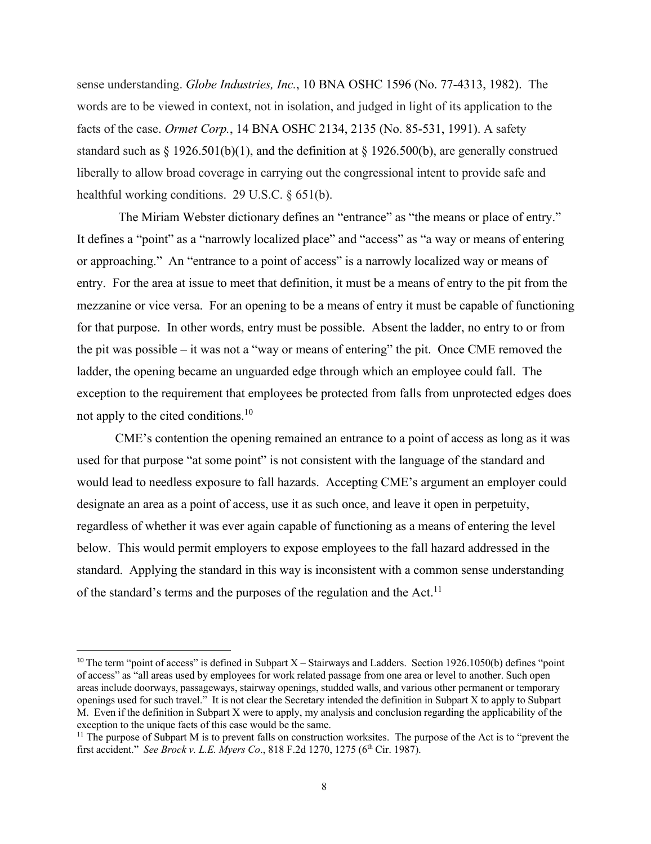sense understanding. *[Globe](https://1.next.westlaw.com/Link/Document/FullText?findType=Y&serNum=1982230901&pubNum=0003227&originatingDoc=I2d0d765a33cf11e280719c3f0e80bdd0&refType=CA&originationContext=document&transitionType=DocumentItem&contextData=(sc.Search)) [Industries,](https://1.next.westlaw.com/Link/Document/FullText?findType=Y&serNum=1982230901&pubNum=0003227&originatingDoc=I2d0d765a33cf11e280719c3f0e80bdd0&refType=CA&originationContext=document&transitionType=DocumentItem&contextData=(sc.Search)) [Inc.](https://1.next.westlaw.com/Link/Document/FullText?findType=Y&serNum=1982230901&pubNum=0003227&originatingDoc=I2d0d765a33cf11e280719c3f0e80bdd0&refType=CA&originationContext=document&transitionType=DocumentItem&contextData=(sc.Search))*[,](https://1.next.westlaw.com/Link/Document/FullText?findType=Y&serNum=1982230901&pubNum=0003227&originatingDoc=I2d0d765a33cf11e280719c3f0e80bdd0&refType=CA&originationContext=document&transitionType=DocumentItem&contextData=(sc.Search)) [10](https://1.next.westlaw.com/Link/Document/FullText?findType=Y&serNum=1982230901&pubNum=0003227&originatingDoc=I2d0d765a33cf11e280719c3f0e80bdd0&refType=CA&originationContext=document&transitionType=DocumentItem&contextData=(sc.Search)) [BNA](https://1.next.westlaw.com/Link/Document/FullText?findType=Y&serNum=1982230901&pubNum=0003227&originatingDoc=I2d0d765a33cf11e280719c3f0e80bdd0&refType=CA&originationContext=document&transitionType=DocumentItem&contextData=(sc.Search)) [OSHC](https://1.next.westlaw.com/Link/Document/FullText?findType=Y&serNum=1982230901&pubNum=0003227&originatingDoc=I2d0d765a33cf11e280719c3f0e80bdd0&refType=CA&originationContext=document&transitionType=DocumentItem&contextData=(sc.Search)) [1596](https://1.next.westlaw.com/Link/Document/FullText?findType=Y&serNum=1982230901&pubNum=0003227&originatingDoc=I2d0d765a33cf11e280719c3f0e80bdd0&refType=CA&originationContext=document&transitionType=DocumentItem&contextData=(sc.Search)) [\(No.](https://1.next.westlaw.com/Link/Document/FullText?findType=Y&serNum=1982230901&pubNum=0003227&originatingDoc=I2d0d765a33cf11e280719c3f0e80bdd0&refType=CA&originationContext=document&transitionType=DocumentItem&contextData=(sc.Search)) [77-4313,](https://1.next.westlaw.com/Link/Document/FullText?findType=Y&serNum=1982230901&pubNum=0003227&originatingDoc=I2d0d765a33cf11e280719c3f0e80bdd0&refType=CA&originationContext=document&transitionType=DocumentItem&contextData=(sc.Search)) [1982\).](https://1.next.westlaw.com/Link/Document/FullText?findType=Y&serNum=1982230901&pubNum=0003227&originatingDoc=I2d0d765a33cf11e280719c3f0e80bdd0&refType=CA&originationContext=document&transitionType=DocumentItem&contextData=(sc.Search)) The words are to be viewed in context, not in isolation, and judged in light of its application to the facts of the case. *[Ormet](https://1.next.westlaw.com/Link/Document/FullText?findType=Y&serNum=1991434406&pubNum=0003227&originatingDoc=I2d0d765a33cf11e280719c3f0e80bdd0&refType=CA&fi=co_pp_sp_3227_2135&originationContext=document&transitionType=DocumentItem&contextData=(sc.Search)&co_pp_sp_3227_2135) [Corp.](https://1.next.westlaw.com/Link/Document/FullText?findType=Y&serNum=1991434406&pubNum=0003227&originatingDoc=I2d0d765a33cf11e280719c3f0e80bdd0&refType=CA&fi=co_pp_sp_3227_2135&originationContext=document&transitionType=DocumentItem&contextData=(sc.Search)&co_pp_sp_3227_2135)*[,](https://1.next.westlaw.com/Link/Document/FullText?findType=Y&serNum=1991434406&pubNum=0003227&originatingDoc=I2d0d765a33cf11e280719c3f0e80bdd0&refType=CA&fi=co_pp_sp_3227_2135&originationContext=document&transitionType=DocumentItem&contextData=(sc.Search)&co_pp_sp_3227_2135) [14](https://1.next.westlaw.com/Link/Document/FullText?findType=Y&serNum=1991434406&pubNum=0003227&originatingDoc=I2d0d765a33cf11e280719c3f0e80bdd0&refType=CA&fi=co_pp_sp_3227_2135&originationContext=document&transitionType=DocumentItem&contextData=(sc.Search)&co_pp_sp_3227_2135) [BNA](https://1.next.westlaw.com/Link/Document/FullText?findType=Y&serNum=1991434406&pubNum=0003227&originatingDoc=I2d0d765a33cf11e280719c3f0e80bdd0&refType=CA&fi=co_pp_sp_3227_2135&originationContext=document&transitionType=DocumentItem&contextData=(sc.Search)&co_pp_sp_3227_2135) [OSHC](https://1.next.westlaw.com/Link/Document/FullText?findType=Y&serNum=1991434406&pubNum=0003227&originatingDoc=I2d0d765a33cf11e280719c3f0e80bdd0&refType=CA&fi=co_pp_sp_3227_2135&originationContext=document&transitionType=DocumentItem&contextData=(sc.Search)&co_pp_sp_3227_2135) [2134,](https://1.next.westlaw.com/Link/Document/FullText?findType=Y&serNum=1991434406&pubNum=0003227&originatingDoc=I2d0d765a33cf11e280719c3f0e80bdd0&refType=CA&fi=co_pp_sp_3227_2135&originationContext=document&transitionType=DocumentItem&contextData=(sc.Search)&co_pp_sp_3227_2135) [2135](https://1.next.westlaw.com/Link/Document/FullText?findType=Y&serNum=1991434406&pubNum=0003227&originatingDoc=I2d0d765a33cf11e280719c3f0e80bdd0&refType=CA&fi=co_pp_sp_3227_2135&originationContext=document&transitionType=DocumentItem&contextData=(sc.Search)&co_pp_sp_3227_2135) [\(No.](https://1.next.westlaw.com/Link/Document/FullText?findType=Y&serNum=1991434406&pubNum=0003227&originatingDoc=I2d0d765a33cf11e280719c3f0e80bdd0&refType=CA&fi=co_pp_sp_3227_2135&originationContext=document&transitionType=DocumentItem&contextData=(sc.Search)&co_pp_sp_3227_2135) [85-531,](https://1.next.westlaw.com/Link/Document/FullText?findType=Y&serNum=1991434406&pubNum=0003227&originatingDoc=I2d0d765a33cf11e280719c3f0e80bdd0&refType=CA&fi=co_pp_sp_3227_2135&originationContext=document&transitionType=DocumentItem&contextData=(sc.Search)&co_pp_sp_3227_2135) [1991\).](https://1.next.westlaw.com/Link/Document/FullText?findType=Y&serNum=1991434406&pubNum=0003227&originatingDoc=I2d0d765a33cf11e280719c3f0e80bdd0&refType=CA&fi=co_pp_sp_3227_2135&originationContext=document&transitionType=DocumentItem&contextData=(sc.Search)&co_pp_sp_3227_2135) A safety standard such as [§](https://1.next.westlaw.com/Link/Document/FullText?findType=L&pubNum=1000547&cite=29CFRS1926.501&originatingDoc=I2d0d765a33cf11e280719c3f0e80bdd0&refType=RB&originationContext=document&transitionType=DocumentItem&contextData=(sc.Search)&co_pp_3fed000053a85) [1926.501\(b\)\(1\),](https://1.next.westlaw.com/Link/Document/FullText?findType=L&pubNum=1000547&cite=29CFRS1926.501&originatingDoc=I2d0d765a33cf11e280719c3f0e80bdd0&refType=RB&originationContext=document&transitionType=DocumentItem&contextData=(sc.Search)&co_pp_3fed000053a85) and the definition at [§](https://1.next.westlaw.com/Link/Document/FullText?findType=L&pubNum=1000547&cite=29CFRS1926.500&originatingDoc=I2d0d765a33cf11e280719c3f0e80bdd0&refType=RB&originationContext=document&transitionType=DocumentItem&contextData=(sc.Search)&co_pp_a83b000018c76) [1926.500\(b\),](https://1.next.westlaw.com/Link/Document/FullText?findType=L&pubNum=1000547&cite=29CFRS1926.500&originatingDoc=I2d0d765a33cf11e280719c3f0e80bdd0&refType=RB&originationContext=document&transitionType=DocumentItem&contextData=(sc.Search)&co_pp_a83b000018c76) are generally construed liberally to allow broad coverage in carrying out the congressional intent to provide safe and healthful working conditions. 29 U.S.C. § 651(b).

The Miriam Webster dictionary defines an "entrance" as "the means or place of entry." It defines a "point" as a "narrowly localized place" and "access" as "a way or means of entering or approaching." An "entrance to a point of access" is a narrowly localized way or means of entry. For the area at issue to meet that definition, it must be a means of entry to the pit from the mezzanine or vice versa. For an opening to be a means of entry it must be capable of functioning for that purpose. In other words, entry must be possible. Absent the ladder, no entry to or from the pit was possible – it was not a "way or means of entering" the pit. Once CME removed the ladder, the opening became an unguarded edge through which an employee could fall. The exception to the requirement that employees be protected from falls from unprotected edges does not apply to the cited conditions.<sup>[10](#page-8-0)</sup>

<span id="page-7-0"></span>CME's contention the opening remained an entrance to a point of access as long as it was used for that purpose "at some point" is not consistent with the language of the standard and would lead to needless exposure to fall hazards. Accepting CME's argument an employer could designate an area as a point of access, use it as such once, and leave it open in perpetuity, regardless of whether it was ever again capable of functioning as a means of entering the level below. This would permit employers to expose employees to the fall hazard addressed in the standard. Applying the standard in this way is inconsistent with a common sense understanding of the standard's terms and the purposes of the regulation and the Act.<sup>[11](#page-8-1)</sup>

<sup>&</sup>lt;sup>10</sup> The term "point of access" is defined in Subpart X – Stairways and Ladders. Section 1926.1050(b) defines "point of access" as "all areas used by employees for work related passage from one area or level to another. Such open areas include doorways, passageways, stairway openings, studded walls, and various other permanent or temporary openings used for such travel." It is not clear the Secretary intended the definition in Subpart X to apply to Subpart M. Even if the definition in Subpart X were to apply, my analysis and conclusion regarding the applicability of the exception to the unique facts of this case would be the same.

<span id="page-7-3"></span><span id="page-7-2"></span><span id="page-7-1"></span> $11$  The purpose of Subpart M is to prevent falls on construction worksites. The purpose of the Act is to "prevent the first accident." *See Brock v. L.E. Myers Co*., 818 F.2d 1270, 1275 (6th Cir. 1987).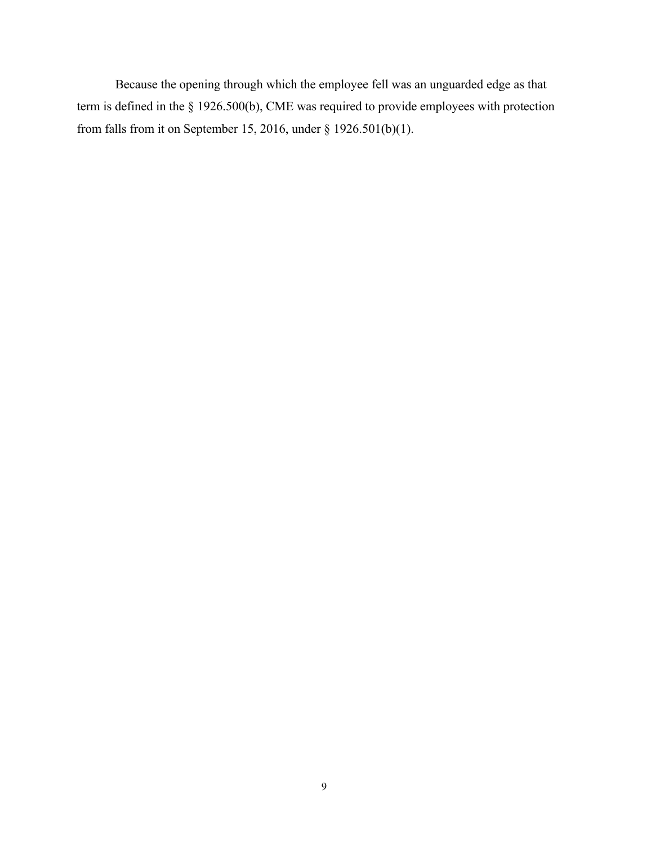<span id="page-8-1"></span><span id="page-8-0"></span>Because the opening through which the employee fell was an unguarded edge as that term is defined in the § 1926.500(b), CME was required to provide employees with protection from falls from it on September 15, 2016, under § 1926.501(b)(1).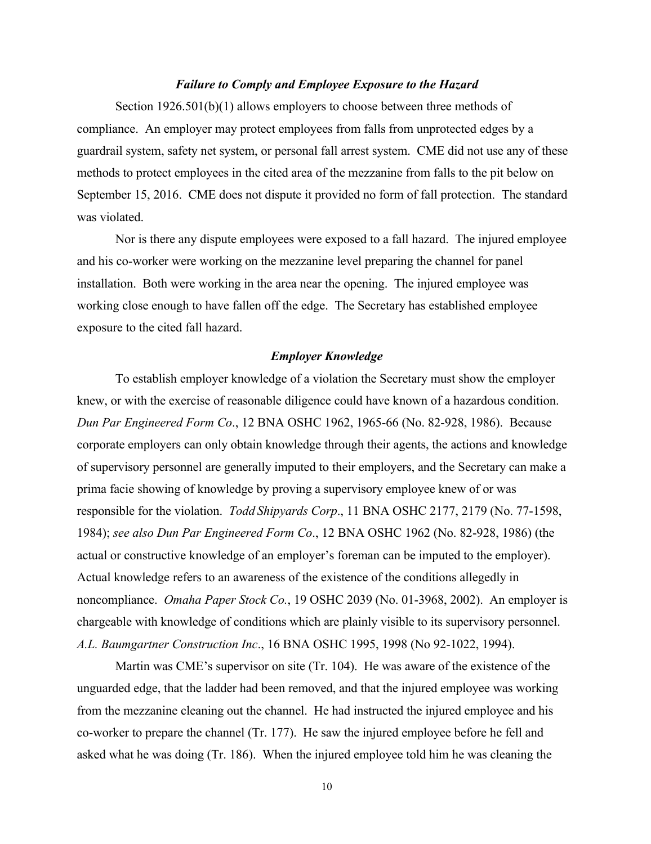## *Failure to Comply and Employee Exposure to the Hazard*

Section 1926.501(b)(1) allows employers to choose between three methods of compliance. An employer may protect employees from falls from unprotected edges by a guardrail system, safety net system, or personal fall arrest system. CME did not use any of these methods to protect employees in the cited area of the mezzanine from falls to the pit below on September 15, 2016. CME does not dispute it provided no form of fall protection. The standard was violated.

Nor is there any dispute employees were exposed to a fall hazard. The injured employee and his co-worker were working on the mezzanine level preparing the channel for panel installation. Both were working in the area near the opening. The injured employee was working close enough to have fallen off the edge. The Secretary has established employee exposure to the cited fall hazard.

### *Employer Knowledge*

To establish employer knowledge of a violation the Secretary must show the employer knew, or with the exercise of reasonable diligence could have known of a hazardous condition. *Dun Par Engineered Form Co*., 12 BNA OSHC 1962, 1965-66 (No. 82-928, 1986). Because corporate employers can only obtain knowledge through their agents, the actions and knowledge of supervisory personnel are generally imputed to their employers, and the Secretary can make a prima facie showing of knowledge by proving a supervisory employee knew of or was responsible for the violation. *Todd Shipyards Corp*., 11 BNA OSHC 2177, 2179 (No. 77-1598, 1984); *see also Dun Par Engineered Form Co*., 12 BNA OSHC 1962 (No. 82-928, 1986) (the actual or constructive knowledge of an employer's foreman can be imputed to the employer). Actual knowledge refers to an awareness of the existence of the conditions allegedly in noncompliance. *Omaha Paper Stock Co.*, 19 OSHC 2039 (No. 01-3968, 2002). An employer is chargeable with knowledge of conditions which are plainly visible to its supervisory personnel. *A.L. Baumgartner Construction Inc*., 16 BNA OSHC 1995, 1998 (No 92-1022, 1994).

Martin was CME's supervisor on site (Tr. 104). He was aware of the existence of the unguarded edge, that the ladder had been removed, and that the injured employee was working from the mezzanine cleaning out the channel. He had instructed the injured employee and his co-worker to prepare the channel (Tr. 177). He saw the injured employee before he fell and asked what he was doing (Tr. 186). When the injured employee told him he was cleaning the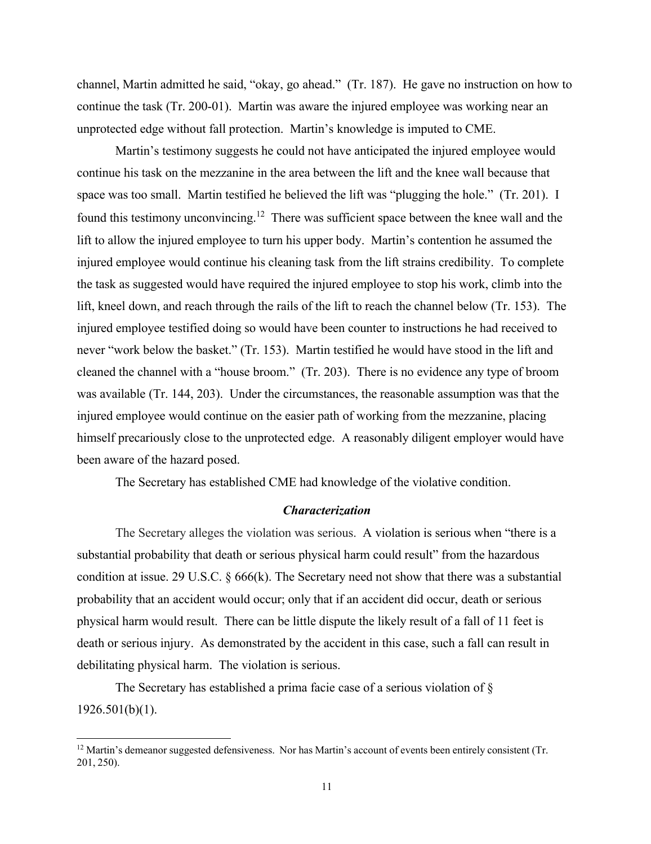channel, Martin admitted he said, "okay, go ahead." (Tr. 187). He gave no instruction on how to continue the task (Tr. 200-01). Martin was aware the injured employee was working near an unprotected edge without fall protection. Martin's knowledge is imputed to CME.

Martin's testimony suggests he could not have anticipated the injured employee would continue his task on the mezzanine in the area between the lift and the knee wall because that space was too small. Martin testified he believed the lift was "plugging the hole." (Tr. 201). I found this testimony unconvincing.<sup>[12](#page-11-0)</sup> There was sufficient space between the knee wall and the lift to allow the injured employee to turn his upper body. Martin's contention he assumed the injured employee would continue his cleaning task from the lift strains credibility. To complete the task as suggested would have required the injured employee to stop his work, climb into the lift, kneel down, and reach through the rails of the lift to reach the channel below (Tr. 153). The injured employee testified doing so would have been counter to instructions he had received to never "work below the basket." (Tr. 153). Martin testified he would have stood in the lift and cleaned the channel with a "house broom." (Tr. 203). There is no evidence any type of broom was available (Tr. 144, 203). Under the circumstances, the reasonable assumption was that the injured employee would continue on the easier path of working from the mezzanine, placing himself precariously close to the unprotected edge. A reasonably diligent employer would have been aware of the hazard posed.

The Secretary has established CME had knowledge of the violative condition.

#### *Characterization*

The Secretary alleges the violation was serious. A violation is serious when "there is a substantial probability that death or serious physical harm could result" from the hazardous condition at issu[e.](https://a.next.westlaw.com/Link/Document/FullText?findType=L&pubNum=1000546&cite=29USCAS666&originatingDoc=I506d03ad178f11e2b60bb297d3d07bc5&refType=RB&originationContext=document&transitionType=DocumentItem&contextData=(sc.Search)&co_pp_340a00009b6f3) [29](https://a.next.westlaw.com/Link/Document/FullText?findType=L&pubNum=1000546&cite=29USCAS666&originatingDoc=I506d03ad178f11e2b60bb297d3d07bc5&refType=RB&originationContext=document&transitionType=DocumentItem&contextData=(sc.Search)&co_pp_340a00009b6f3) [U.S.C.](https://a.next.westlaw.com/Link/Document/FullText?findType=L&pubNum=1000546&cite=29USCAS666&originatingDoc=I506d03ad178f11e2b60bb297d3d07bc5&refType=RB&originationContext=document&transitionType=DocumentItem&contextData=(sc.Search)&co_pp_340a00009b6f3) [§](https://a.next.westlaw.com/Link/Document/FullText?findType=L&pubNum=1000546&cite=29USCAS666&originatingDoc=I506d03ad178f11e2b60bb297d3d07bc5&refType=RB&originationContext=document&transitionType=DocumentItem&contextData=(sc.Search)&co_pp_340a00009b6f3) [666\(k\).](https://a.next.westlaw.com/Link/Document/FullText?findType=L&pubNum=1000546&cite=29USCAS666&originatingDoc=I506d03ad178f11e2b60bb297d3d07bc5&refType=RB&originationContext=document&transitionType=DocumentItem&contextData=(sc.Search)&co_pp_340a00009b6f3) The Secretary need not show that there was a substantial probability that an accident would occur; only that if an accident did occur, death or serious physical harm would result. There can be little dispute the likely result of a fall of 11 feet is death or serious injury. As demonstrated by the accident in this case, such a fall can result in debilitating physical harm. The violation is serious.

The Secretary has established a prima facie case of a serious violation of § 1926.501(b)(1).

<sup>&</sup>lt;sup>12</sup> Martin's demeanor suggested defensiveness. Nor has Martin's account of events been entirely consistent (Tr. 201, 250).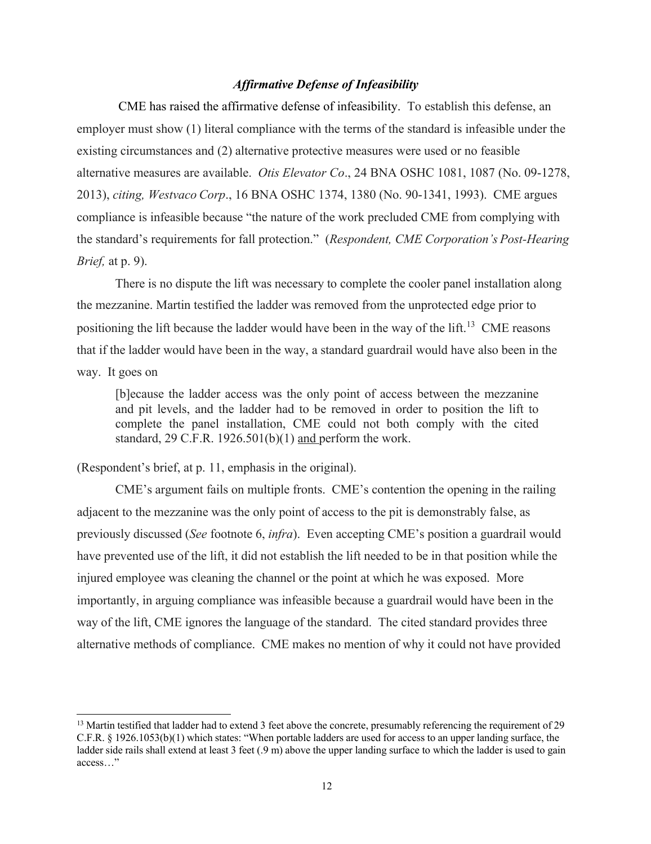# *Affirmative Defense of Infeasibility*

CME has raised the affirmative defense of infeasibility. To establish this defense, an employer must show (1) literal compliance with the terms of the standard is infeasible under the existing circumstances and (2) alternative protective measures were used or no feasible alternative measures are available. *Otis Elevator Co*., 24 BNA OSHC 1081, 1087 (No. 09-1278, 2013), *citing, Westvaco Corp*., 16 BNA OSHC 1374, 1380 (No. 90-1341, 1993). CME argues compliance is infeasible because "the nature of the work precluded CME from complying with the standard's requirements for fall protection." (*Respondent, CME Corporation's Post-Hearing Brief,* at p. 9).

There is no dispute the lift was necessary to complete the cooler panel installation along the mezzanine. Martin testified the ladder was removed from the unprotected edge prior to positioning the lift because the ladder would have been in the way of the lift.<sup>[13](#page-12-0)</sup> CME reasons that if the ladder would have been in the way, a standard guardrail would have also been in the way. It goes on

[b]ecause the ladder access was the only point of access between the mezzanine and pit levels, and the ladder had to be removed in order to position the lift to complete the panel installation, CME could not both comply with the cited standard, 29 C.F.R. 1926.501(b)(1) and perform the work.

# (Respondent's brief, at p. 11, emphasis in the original).

CME's argument fails on multiple fronts. CME's contention the opening in the railing adjacent to the mezzanine was the only point of access to the pit is demonstrably false, as previously discussed (*See* footnote 6, *infra*). Even accepting CME's position a guardrail would have prevented use of the lift, it did not establish the lift needed to be in that position while the injured employee was cleaning the channel or the point at which he was exposed. More importantly, in arguing compliance was infeasible because a guardrail would have been in the way of the lift, CME ignores the language of the standard. The cited standard provides three alternative methods of compliance. CME makes no mention of why it could not have provided

<span id="page-11-0"></span><sup>&</sup>lt;sup>13</sup> Martin testified that ladder had to extend 3 feet above the concrete, presumably referencing the requirement of 29 C.F.R. § 1926.1053(b)(1) which states: "When portable ladders are used for access to an upper landing surface, the ladder side rails shall extend at least 3 feet (.9 m) above the upper landing surface to which the ladder is used to gain access…"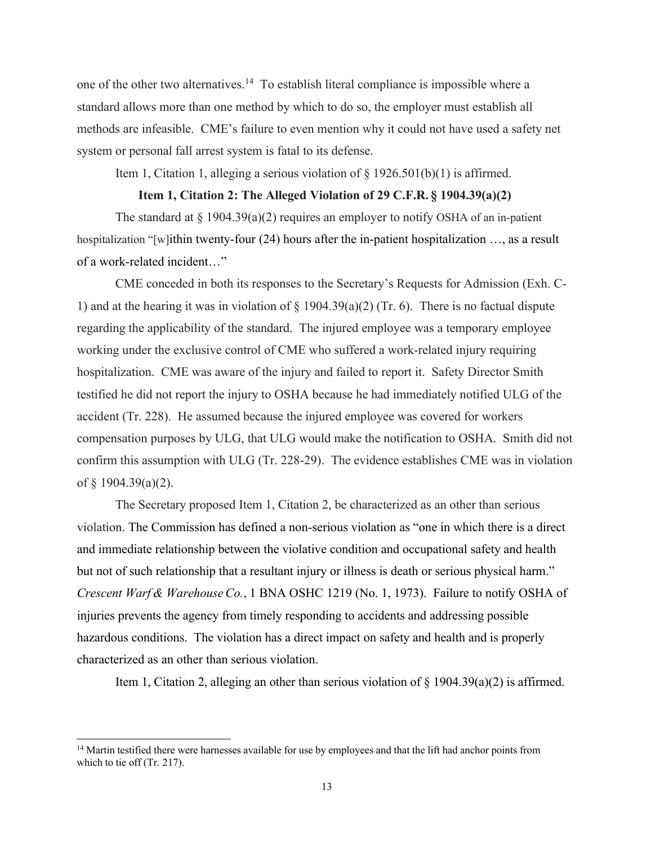one of the other two alternatives.<sup>[14](#page-13-0)</sup> To establish literal compliance is impossible where a standard allows more than one method by which to do so, the employer must establish all methods are infeasible. CME's failure to even mention why it could not have used a safety net system or personal fall arrest system is fatal to its defense.

Item 1, Citation 1, alleging a serious violation of  $\S 1926.501(b)(1)$  is affirmed.

### **Item 1, Citation 2: The Alleged Violation of 29 C.F.R. § 1904.39(a)(2)**

The standard at  $\S 1904.39(a)(2)$  requires an employer to notify OSHA of an in-patient hospitalization "[w]ithin twenty-four (24) hours after the in-patient hospitalization ..., as a result of a work-related incident…"

CME conceded in both its responses to the Secretary's Requests for Admission (Exh. C-1) and at the hearing it was in violation of  $\S$  1904.39(a)(2) (Tr. 6). There is no factual dispute regarding the applicability of the standard. The injured employee was a temporary employee working under the exclusive control of CME who suffered a work-related injury requiring hospitalization. CME was aware of the injury and failed to report it. Safety Director Smith testified he did not report the injury to OSHA because he had immediately notified ULG of the accident (Tr. 228). He assumed because the injured employee was covered for workers compensation purposes by ULG, that ULG would make the notification to OSHA. Smith did not confirm this assumption with ULG (Tr. 228-29). The evidence establishes CME was in violation of  $§$  1904.39(a)(2).

The Secretary proposed Item 1, Citation 2, be characterized as an other than serious violation. The Commission has defined a non-serious violation as "one in which there is a direct and immediate relationship between the violative condition and occupational safety and health but not of such relationship that a resultant injury or illness is death or serious physical harm." *Crescent Warf & WarehouseCo.*, 1 BNA OSHC 1219 (No. 1, 1973). Failure to notify OSHA of injuries prevents the agency from timely responding to accidents and addressing possible hazardous conditions. The violation has a direct impact on safety and health and is properly characterized as an other than serious violation.

Item 1, Citation 2, alleging an other than serious violation of  $\S$  1904.39(a)(2) is affirmed.

<span id="page-12-0"></span><sup>&</sup>lt;sup>14</sup> Martin testified there were harnesses available for use by employees and that the lift had anchor points from which to tie off (Tr. 217).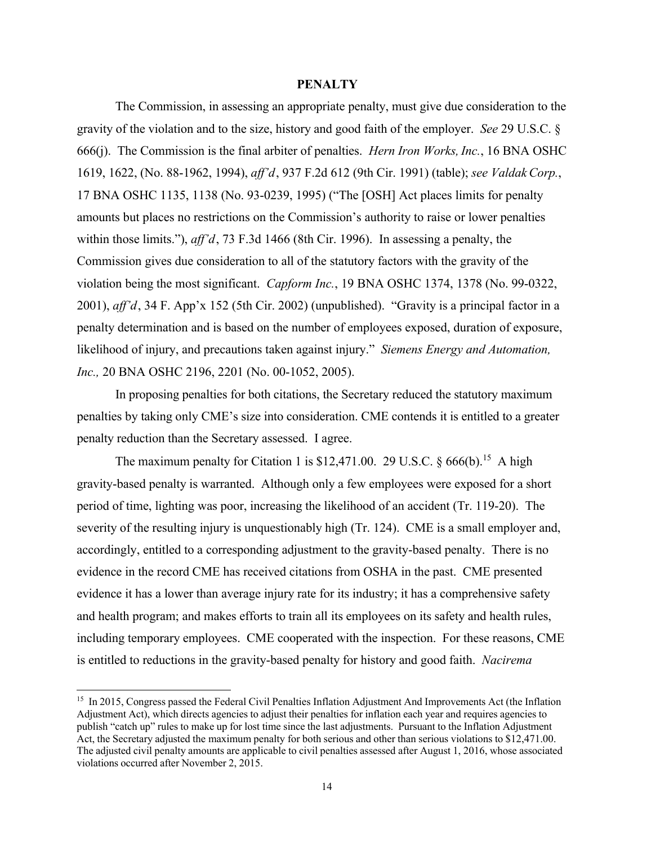#### **PENALTY**

The Commission, in assessing an appropriate penalty, must give due consideration to the gravity of the violation and to the size, history and good faith of the employer. *See* 29 U.S.C. § 666(j). The Commission is the final arbiter of penalties. *Hern Iron Works, Inc.*, 16 BNA OSHC 1619, 1622, (No. 88-1962, 1994), *aff'd*, 937 F.2d 612 (9th Cir. 1991) (table); *see ValdakCorp.*, 17 BNA OSHC 1135, 1138 (No. 93-0239, 1995) ("The [OSH] Act places limits for penalty amounts but places no restrictions on the Commission's authority to raise or lower penalties within those limits."), *aff'd*, 73 F.3d 1466 (8th Cir. 1996). In assessing a penalty, the Commission gives due consideration to all of the statutory factors with the gravity of the violation being the most significant. *Capform Inc.*, 19 BNA OSHC 1374, 1378 (No. 99-0322, 2001), *aff'd*, 34 F. App'x 152 (5th Cir. 2002) (unpublished). "Gravity is a principal factor in a penalty determination and is based on the number of employees exposed, duration of exposure, likelihood of injury, and precautions taken against injury." *Siemens Energy and Automation, Inc.,* 20 BNA OSHC 2196, 2201 (No. 00-1052, 2005).

In proposing penalties for both citations, the Secretary reduced the statutory maximum penalties by taking only CME's size into consideration. CME contends it is entitled to a greater penalty reduction than the Secretary assessed. I agree.

The maximum penalty for Citation 1 is \$12,471.00. 29 U.S.C.  $\S 666(b)$ <sup>[15](#page-14-0)</sup> A high gravity-based penalty is warranted. Although only a few employees were exposed for a short period of time, lighting was poor, increasing the likelihood of an accident (Tr. 119-20). The severity of the resulting injury is unquestionably high (Tr. 124). CME is a small employer and, accordingly, entitled to a corresponding adjustment to the gravity-based penalty. There is no evidence in the record CME has received citations from OSHA in the past. CME presented evidence it has a lower than average injury rate for its industry; it has a comprehensive safety and health program; and makes efforts to train all its employees on its safety and health rules, including temporary employees. CME cooperated with the inspection. For these reasons, CME is entitled to reductions in the gravity-based penalty for history and good faith. *Nacirema*

<span id="page-13-0"></span><sup>&</sup>lt;sup>15</sup> In 2015, Congress passed the Federal Civil Penalties Inflation Adjustment And Improvements Act (the Inflation Adjustment Act), which directs agencies to adjust their penalties for inflation each year and requires agencies to publish "catch up" rules to make up for lost time since the last adjustments. Pursuant to the Inflation Adjustment Act, the Secretary adjusted the maximum penalty for both serious and other than serious violations to \$12,471.00. The adjusted civil penalty amounts are applicable to civil penalties assessed after August 1, 2016, whose associated violations occurred after November 2, 2015.